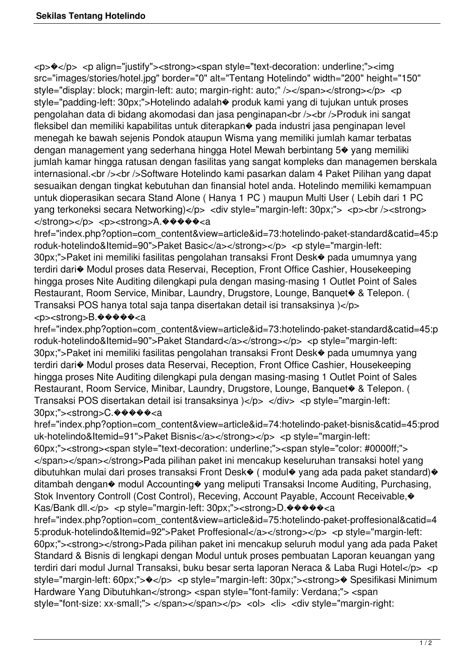<p>�</p> <p align="justify"><strong><span style="text-decoration: underline;"><img src="images/stories/hotel.jpg" border="0" alt="Tentang Hotelindo" width="200" height="150" style="display: block; margin-left: auto; margin-right: auto;" /></span></strong></p> <p style="padding-left: 30px;">Hotelindo adalah� produk kami yang di tujukan untuk proses pengolahan data di bidang akomodasi dan jasa penginapan<br />> /><br />Produk ini sangat fleksibel dan memiliki kapabilitas untuk diterapkan� pada industri jasa penginapan level menegah ke bawah sejenis Pondok ataupun Wisma yang memiliki jumlah kamar terbatas dengan management yang sederhana hingga Hotel Mewah berbintang 5� yang memiliki jumlah kamar hingga ratusan dengan fasilitas yang sangat kompleks dan managemen berskala internasional.<br />> <br />>
Software Hotelindo kami pasarkan dalam 4 Paket Pilihan yang dapat sesuaikan dengan tingkat kebutuhan dan finansial hotel anda. Hotelindo memiliki kemampuan untuk dioperasikan secara Stand Alone ( Hanya 1 PC ) maupun Multi User ( Lebih dari 1 PC yang terkoneksi secara Networking)</p> <div style="margin-left: 30px;"> <p><br/>>br />><strong> </strong></p> <p><strong>A.<sup>����</sup>�<a

href="index.php?option=com\_content&view=article&id=73:hotelindo-paket-standard&catid=45:p roduk-hotelindo&Itemid=90">Paket Basic</a></strong></p> <p style="margin-left: 30px;">Paket ini memiliki fasilitas pengolahan transaksi Front Desk� pada umumnya yang terdiri dari� Modul proses data Reservai, Reception, Front Office Cashier, Housekeeping

hingga proses Nite Auditing dilengkapi pula dengan masing-masing 1 Outlet Point of Sales Restaurant, Room Service, Minibar, Laundry, Drugstore, Lounge, Banquet<sup>®</sup> & Telepon. ( Transaksi POS hanya total saja tanpa disertakan detail isi transaksinya )</p>

## <p><strong>B.<sup>����</sup>�<a

href="index.php?option=com\_content&view=article&id=73:hotelindo-paket-standard&catid=45:p roduk-hotelindo&Itemid=90">Paket Standard</a></strong></p> <p style="margin-left: 30px;">Paket ini memiliki fasilitas pengolahan transaksi Front Desk� pada umumnya yang terdiri dari� Modul proses data Reservai, Reception, Front Office Cashier, Housekeeping hingga proses Nite Auditing dilengkapi pula dengan masing-masing 1 Outlet Point of Sales Restaurant, Room Service, Minibar, Laundry, Drugstore, Lounge, Banquet<sup>®</sup> & Telepon. ( Transaksi POS disertakan detail isi transaksinya  $\vert \langle p \rangle$  </div> <p style="margin-left: 30px;"><strong>C.�����<a

href="index.php?option=com\_content&view=article&id=74:hotelindo-paket-bisnis&catid=45:prod uk-hotelindo&Itemid=91">Paket Bisnis</a></strong></p> <p style="margin-left: 60px;"><strong><span style="text-decoration: underline;"><span style="color: #0000ff;"> </span></span></strong>Pada pilihan paket ini mencakup keseluruhan transaksi hotel yang dibutuhkan mulai dari proses transaksi Front Desk $\bullet$  (modul $\bullet$  yang ada pada paket standard) $\bullet$ ditambah dengan� modul Accounting� yang meliputi Transaksi Income Auditing, Purchasing, Stok Inventory Controll (Cost Control), Receving, Account Payable, Account Receivable,  $\bullet$ Kas/Bank dll.</p> <p style="margin-left: 30px;"><strong>D. $\circ\bullet\bullet\bullet\bullet\bullet\epsilon$ a

href="index.php?option=com\_content&view=article&id=75:hotelindo-paket-proffesional&catid=4 5:produk-hotelindo&Itemid=92">Paket Proffesional</a></strong></p> <p style="margin-left: 60px;"><strong></strong>Pada pilihan paket ini mencakup seluruh modul yang ada pada Paket Standard & Bisnis di lengkapi dengan Modul untuk proses pembuatan Laporan keuangan yang terdiri dari modul Jurnal Transaksi, buku besar serta laporan Neraca & Laba Rugi Hotel</p> <p style="margin-left: 60px;"> $\rightarrow$ </p> <p style="margin-left: 30px;"><strong> $\rightarrow$  Spesifikasi Minimum Hardware Yang Dibutuhkan</strong> <span style="font-family: Verdana;"> <span style="font-size: xx-small;"> </span></span></p> <ol> <li> <div style="margin-right: